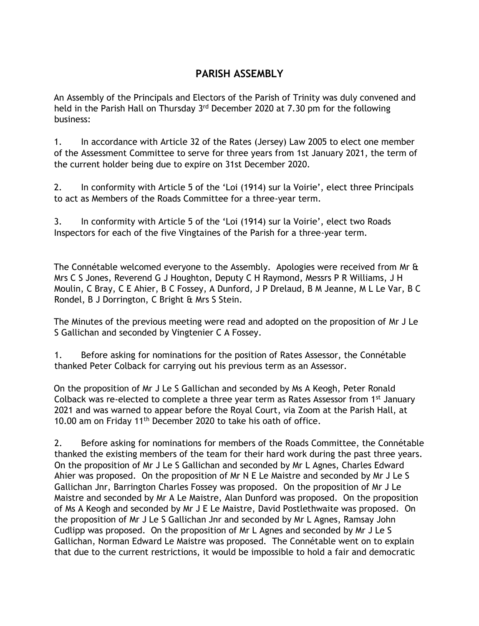## **PARISH ASSEMBLY**

An Assembly of the Principals and Electors of the Parish of Trinity was duly convened and held in the Parish Hall on Thursday 3<sup>rd</sup> December 2020 at 7.30 pm for the following business:

1. In accordance with Article 32 of the Rates (Jersey) Law 2005 to elect one member of the Assessment Committee to serve for three years from 1st January 2021, the term of the current holder being due to expire on 31st December 2020.

2. In conformity with Article 5 of the 'Loi (1914) sur la Voirie', elect three Principals to act as Members of the Roads Committee for a three-year term.

3. In conformity with Article 5 of the 'Loi (1914) sur la Voirie', elect two Roads Inspectors for each of the five Vingtaines of the Parish for a three-year term.

The Connétable welcomed everyone to the Assembly. Apologies were received from Mr & Mrs C S Jones, Reverend G J Houghton, Deputy C H Raymond, Messrs P R Williams, J H Moulin, C Bray, C E Ahier, B C Fossey, A Dunford, J P Drelaud, B M Jeanne, M L Le Var, B C Rondel, B J Dorrington, C Bright & Mrs S Stein.

The Minutes of the previous meeting were read and adopted on the proposition of Mr J Le S Gallichan and seconded by Vingtenier C A Fossey.

1. Before asking for nominations for the position of Rates Assessor, the Connétable thanked Peter Colback for carrying out his previous term as an Assessor.

On the proposition of Mr J Le S Gallichan and seconded by Ms A Keogh, Peter Ronald Colback was re-elected to complete a three year term as Rates Assessor from 1<sup>st</sup> January 2021 and was warned to appear before the Royal Court, via Zoom at the Parish Hall, at 10.00 am on Friday 11<sup>th</sup> December 2020 to take his oath of office.

2. Before asking for nominations for members of the Roads Committee, the Connétable thanked the existing members of the team for their hard work during the past three years. On the proposition of Mr J Le S Gallichan and seconded by Mr L Agnes, Charles Edward Ahier was proposed. On the proposition of Mr N E Le Maistre and seconded by Mr J Le S Gallichan Jnr, Barrington Charles Fossey was proposed. On the proposition of Mr J Le Maistre and seconded by Mr A Le Maistre, Alan Dunford was proposed. On the proposition of Ms A Keogh and seconded by Mr J E Le Maistre, David Postlethwaite was proposed. On the proposition of Mr J Le S Gallichan Jnr and seconded by Mr L Agnes, Ramsay John Cudlipp was proposed. On the proposition of Mr L Agnes and seconded by Mr J Le S Gallichan, Norman Edward Le Maistre was proposed. The Connétable went on to explain that due to the current restrictions, it would be impossible to hold a fair and democratic